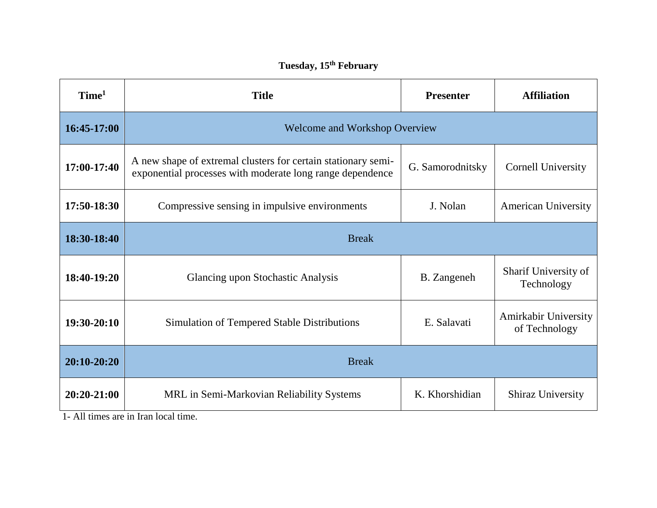## **Tuesday, 15th February**

| Time <sup>1</sup> | <b>Title</b>                                                                                                               | <b>Presenter</b> | <b>Affiliation</b>                    |  |
|-------------------|----------------------------------------------------------------------------------------------------------------------------|------------------|---------------------------------------|--|
| 16:45-17:00       | <b>Welcome and Workshop Overview</b>                                                                                       |                  |                                       |  |
| 17:00-17:40       | A new shape of extremal clusters for certain stationary semi-<br>exponential processes with moderate long range dependence | G. Samorodnitsky | <b>Cornell University</b>             |  |
| 17:50-18:30       | Compressive sensing in impulsive environments                                                                              | J. Nolan         | <b>American University</b>            |  |
| 18:30-18:40       | <b>Break</b>                                                                                                               |                  |                                       |  |
| 18:40-19:20       | Glancing upon Stochastic Analysis                                                                                          | B. Zangeneh      | Sharif University of<br>Technology    |  |
| $19:30-20:10$     | Simulation of Tempered Stable Distributions                                                                                | E. Salavati      | Amirkabir University<br>of Technology |  |
| 20:10-20:20       | <b>Break</b>                                                                                                               |                  |                                       |  |
| 20:20-21:00       | MRL in Semi-Markovian Reliability Systems                                                                                  | K. Khorshidian   | <b>Shiraz University</b>              |  |

1- All times are in Iran local time.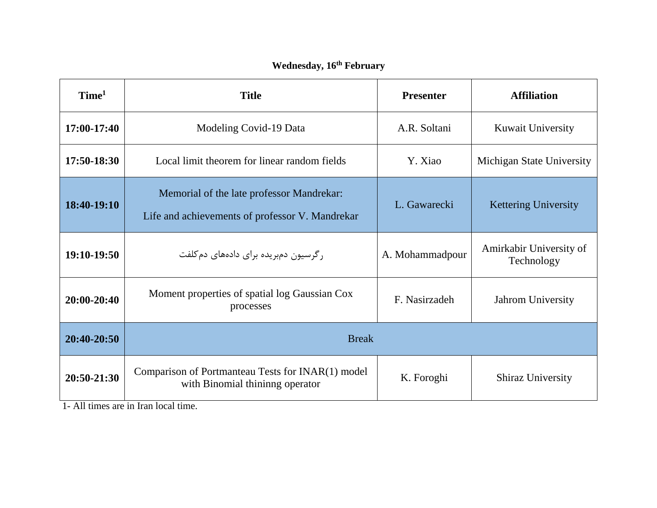| Time <sup>1</sup> | <b>Title</b>                                                                                 | <b>Presenter</b> | <b>Affiliation</b>                    |  |
|-------------------|----------------------------------------------------------------------------------------------|------------------|---------------------------------------|--|
| 17:00-17:40       | Modeling Covid-19 Data                                                                       | A.R. Soltani     | <b>Kuwait University</b>              |  |
| 17:50-18:30       | Local limit theorem for linear random fields                                                 | Y. Xiao          | Michigan State University             |  |
| 18:40-19:10       | Memorial of the late professor Mandrekar:<br>Life and achievements of professor V. Mandrekar | L. Gawarecki     | <b>Kettering University</b>           |  |
| 19:10-19:50       | رگرسیون دمبریده برای دادههای دمکلفت                                                          | A. Mohammadpour  | Amirkabir University of<br>Technology |  |
| $20:00-20:40$     | Moment properties of spatial log Gaussian Cox<br>processes                                   | F. Nasirzadeh    | Jahrom University                     |  |
| 20:40-20:50       | <b>Break</b>                                                                                 |                  |                                       |  |
| 20:50-21:30       | Comparison of Portmanteau Tests for INAR(1) model<br>with Binomial thininng operator         | K. Foroghi       | <b>Shiraz University</b>              |  |

1- All times are in Iran local time.